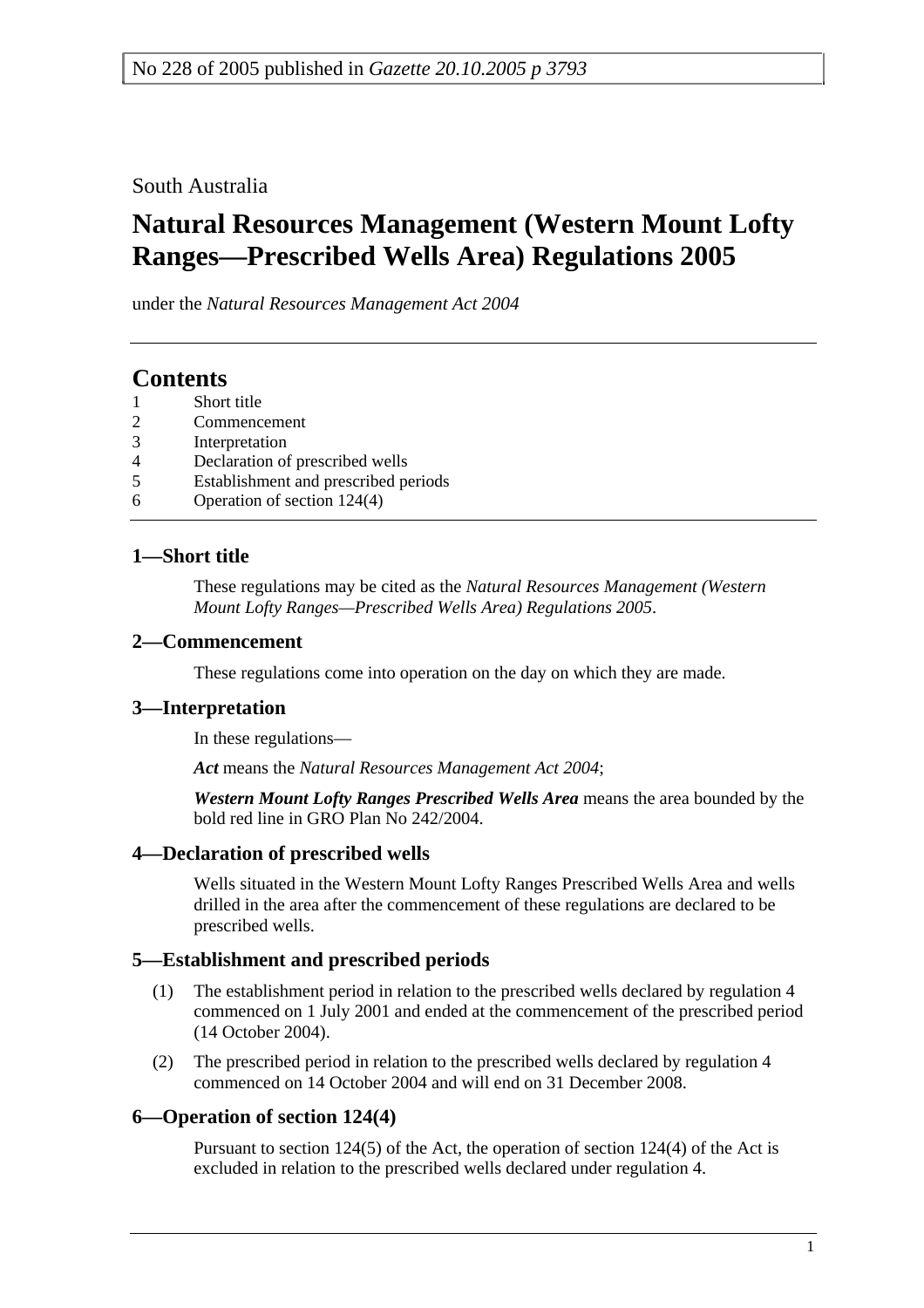South Australia

# **Natural Resources Management (Western Mount Lofty Ranges—Prescribed Wells Area) Regulations 2005**

under the *Natural Resources Management Act 2004*

# **Contents**

- Short title
- 2 Commencement
- 3 Interpretation
- 4 Declaration of prescribed wells
- 5 Establishment and prescribed periods
- 6 Operation of section 124(4)

#### **1—Short title**

These regulations may be cited as the *Natural Resources Management (Western Mount Lofty Ranges—Prescribed Wells Area) Regulations 2005*.

#### **2—Commencement**

These regulations come into operation on the day on which they are made.

### **3—Interpretation**

In these regulations—

*Act* means the *Natural Resources Management Act 2004*;

*Western Mount Lofty Ranges Prescribed Wells Area* means the area bounded by the bold red line in GRO Plan No 242/2004.

### **4—Declaration of prescribed wells**

Wells situated in the Western Mount Lofty Ranges Prescribed Wells Area and wells drilled in the area after the commencement of these regulations are declared to be prescribed wells.

### **5—Establishment and prescribed periods**

- (1) The establishment period in relation to the prescribed wells declared by regulation 4 commenced on 1 July 2001 and ended at the commencement of the prescribed period (14 October 2004).
- (2) The prescribed period in relation to the prescribed wells declared by regulation 4 commenced on 14 October 2004 and will end on 31 December 2008.

### **6—Operation of section 124(4)**

Pursuant to section 124(5) of the Act, the operation of section 124(4) of the Act is excluded in relation to the prescribed wells declared under regulation 4.